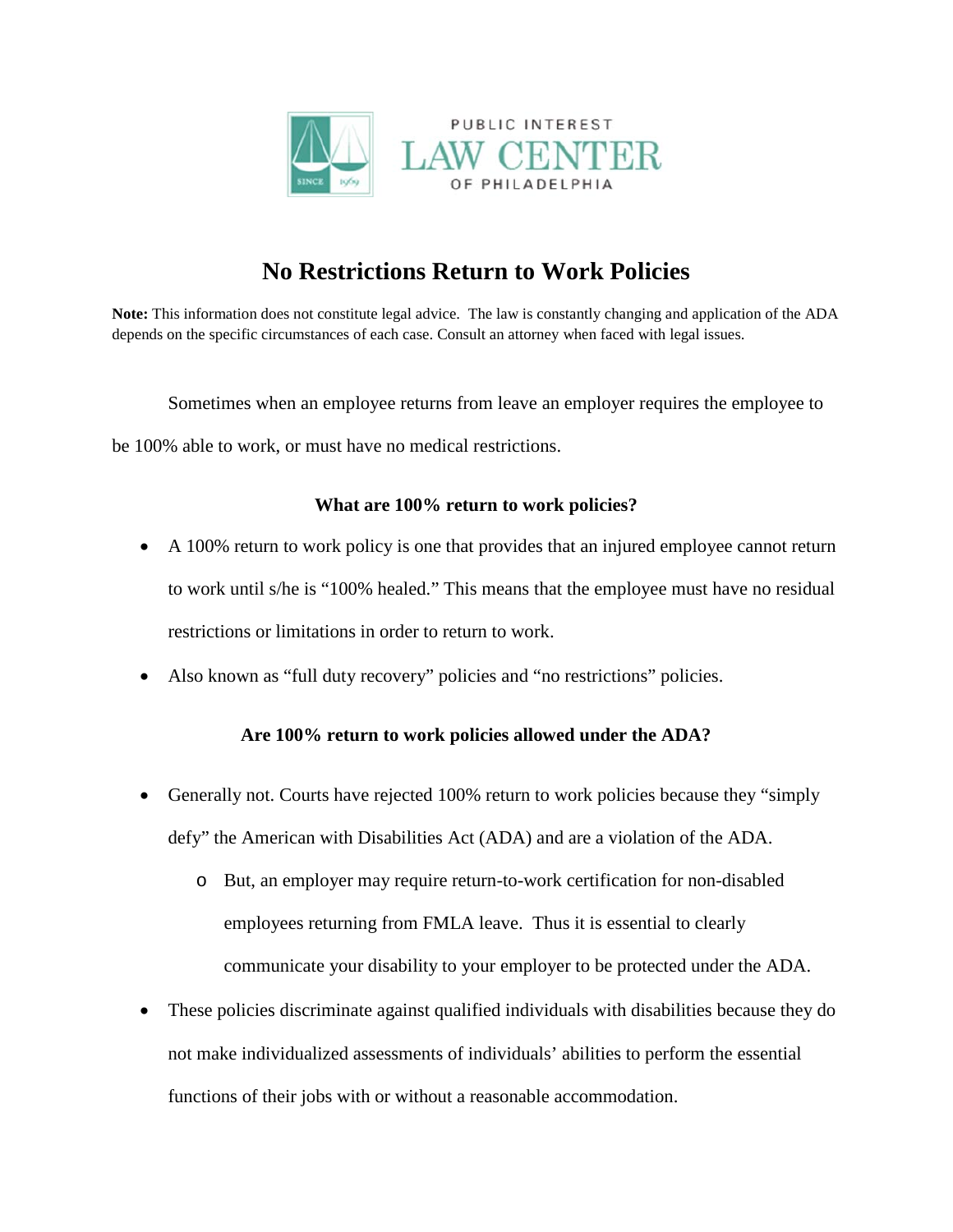

## **No Restrictions Return to Work Policies**

**Note:** This information does not constitute legal advice. The law is constantly changing and application of the ADA depends on the specific circumstances of each case. Consult an attorney when faced with legal issues.

Sometimes when an employee returns from leave an employer requires the employee to be 100% able to work, or must have no medical restrictions.

## **What are 100% return to work policies?**

- A 100% return to work policy is one that provides that an injured employee cannot return to work until s/he is "100% healed." This means that the employee must have no residual restrictions or limitations in order to return to work.
- Also known as "full duty recovery" policies and "no restrictions" policies.

## **Are 100% return to work policies allowed under the ADA?**

- Generally not. Courts have rejected 100% return to work policies because they "simply defy" the American with Disabilities Act (ADA) and are a violation of the ADA.
	- o But, an employer may require return-to-work certification for non-disabled employees returning from FMLA leave. Thus it is essential to clearly communicate your disability to your employer to be protected under the ADA.
- These policies discriminate against qualified individuals with disabilities because they do not make individualized assessments of individuals' abilities to perform the essential functions of their jobs with or without a reasonable accommodation.